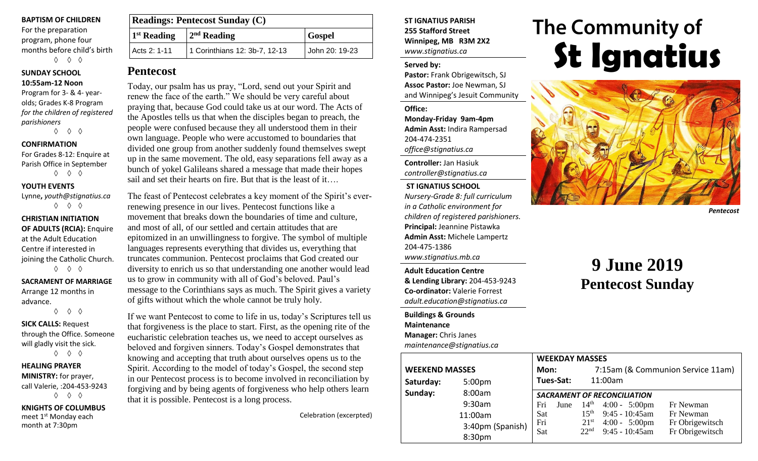#### **BAPTISM OF CHILDREN**

For the preparation program, phone four months before child's birth ◊ ◊ ◊

## **SUNDAY SCHOOL 10:55am-12 Noon**

Program for 3- & 4- yearolds; Grades K-8 Program *for the children of registered parishioners*

◊ ◊ ◊

## **CONFIRMATION**

For Grades 8-12: Enquire at Parish Office in September ◊ ◊ ◊

#### **YOUTH EVENTS**

Lynne**,** *youth@stignatius.ca* ◊ ◊ ◊

## **CHRISTIAN INITIATION OF ADULTS (RCIA):** Enquire at the Adult Education Centre if interested in joining the Catholic Church. ◊ ◊ ◊

## **SACRAMENT OF MARRIAGE** Arrange 12 months in

advance. ◊ ◊ ◊

## **SICK CALLS:** Request through the Office. Someone will gladly visit the sick. ◊ ◊ ◊

## **HEALING PRAYER MINISTRY:** for prayer, call Valerie, :204-453-9243 ◊ ◊ ◊

**KNIGHTS OF COLUMBUS** meet 1<sup>st</sup> Monday each month at 7:30pm

| <b>Readings: Pentecost Sunday (C)</b> |                                |                |  |  |  |
|---------------------------------------|--------------------------------|----------------|--|--|--|
| $1st$ Reading                         | $2nd$ Reading<br><b>Gospel</b> |                |  |  |  |
| Acts 2: 1-11                          | 1 Corinthians 12: 3b-7, 12-13  | John 20: 19-23 |  |  |  |

## **Pentecost**

Today, our psalm has us pray, "Lord, send out your Spirit and renew the face of the earth." We should be very careful about praying that, because God could take us at our word. The Acts of the Apostles tells us that when the disciples began to preach, the people were confused because they all understood them in their own language. People who were accustomed to boundaries that divided one group from another suddenly found themselves swept up in the same movement. The old, easy separations fell away as a bunch of yokel Galileans shared a message that made their hopes sail and set their hearts on fire. But that is the least of it….

The feast of Pentecost celebrates a key moment of the Spirit's everrenewing presence in our lives. Pentecost functions like a movement that breaks down the boundaries of time and culture, and most of all, of our settled and certain attitudes that are epitomized in an unwillingness to forgive. The symbol of multiple languages represents everything that divides us, everything that truncates communion. Pentecost proclaims that God created our diversity to enrich us so that understanding one another would lead us to grow in community with all of God's beloved. Paul's message to the Corinthians says as much. The Spirit gives a variety of gifts without which the whole cannot be truly holy.

If we want Pentecost to come to life in us, today's Scriptures tell us that forgiveness is the place to start. First, as the opening rite of the eucharistic celebration teaches us, we need to accept ourselves as beloved and forgiven sinners. Today's Gospel demonstrates that knowing and accepting that truth about ourselves opens us to the Spirit. According to the model of today's Gospel, the second step in our Pentecost process is to become involved in reconciliation by forgiving and by being agents of forgiveness who help others learn that it is possible. Pentecost is a long process.

Celebration (excerpted)

## **ST IGNATIUS PARISH 255 Stafford Street Winnipeg, MB R3M 2X2** *www.stignatius.ca*

#### **Served by:**

**Pastor:** Frank Obrigewitsch, SJ **Assoc Pastor:** Joe Newman, SJ and Winnipeg's Jesuit Community

**Office:**

**Monday-Friday 9am-4pm Admin Asst:** Indira Rampersad 204-474-2351 *office@stignatius.ca*

**Controller:** Jan Hasiuk *controller@stignatius.ca*

## **ST IGNATIUS SCHOOL**

*Nursery-Grade 8: full curriculum in a Catholic environment for children of registered parishioners.* **Principal:** Jeannine Pistawka **Admin Asst:** Michele Lampertz 204-475-1386 *www.stignatius.mb.ca*

**Adult Education Centre & Lending Library:** 204-453-9243 **Co-ordinator:** Valerie Forrest *adult.education@stignatius.ca*

**Buildings & Grounds Maintenance Manager:** Chris Janes *maintenance@stignatius.ca*

# The Community of **St Ignatius**



*Pentecost*

## **9 June 2019 Pentecost Sunday**

|                       |                    |                                    | <b>WEEKDAY MASSES</b> |                                   |                         |                 |  |
|-----------------------|--------------------|------------------------------------|-----------------------|-----------------------------------|-------------------------|-----------------|--|
| <b>WEEKEND MASSES</b> |                    | Mon:                               |                       | 7:15am (& Communion Service 11am) |                         |                 |  |
| Saturday:             | 5:00 <sub>pm</sub> |                                    | Tues-Sat:             |                                   | 11:00am                 |                 |  |
| Sunday:<br>8:00am     |                    | <b>SACRAMENT OF RECONCILIATION</b> |                       |                                   |                         |                 |  |
|                       | 9:30am             | Fri                                | June                  | 14 <sup>th</sup>                  | $4:00 - 5:00 \text{pm}$ | Fr Newman       |  |
|                       | 11:00am            | Sat                                |                       | 15 <sup>th</sup>                  | $9:45 - 10:45$ am       | Fr Newman       |  |
|                       | 3:40pm (Spanish)   | Fri                                |                       | 21 <sup>st</sup>                  | $4:00 - 5:00 \text{pm}$ | Fr Obrigewitsch |  |
|                       | 8:30pm             | Sat                                |                       | 22 <sup>nd</sup>                  | $9:45 - 10:45$ am       | Fr Obrigewitsch |  |